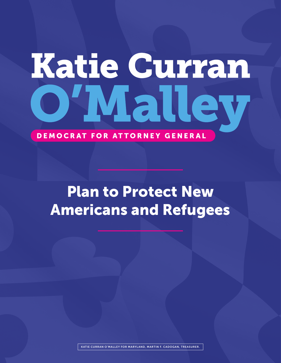# Katie Curran VIal

DEMOCRAT FOR ATTORNEY GENERAL

## Plan to Protect New Americans and Refugees

KATIE CURRAN O'MALLEY FOR MARYLAND, MARTIN F. CADOGAN, TREASURER.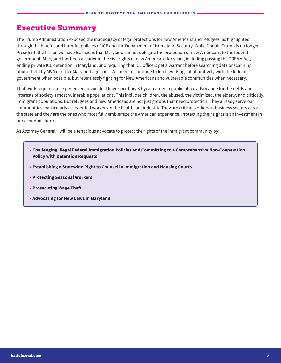#### Executive Summary

The Trump Administration exposed the inadequacy of legal protections for new Americans and refugees, as highlighted through the hateful and harmful policies of ICE and the Department of Homeland Security. While Donald Trump is no longer President, the lesson we have learned is that Maryland cannot delegate the protection of new Americans to the federal government. Maryland has been a leader in the civil rights of new Americans for years, including passing the DREAM Act, ending private ICE detention in Maryland, and requiring that ICE officers get a warrant before searching data or scanning photos held by MVA or other Maryland agencies. We need to continue to lead, working collaboratively with the federal government when possible, but relentlessly fighting for New Americans and vulnerable communities when necessary.

That work requires an experienced advocate. I have spent my 30-year career in public office advocating for the rights and interests of society's most vulnerable populations. This includes children, the abused, the victimized, the elderly, and critically, immigrant populations. But refugees and new Americans are not just groups that need protection. They already serve our communities, particularly as essential workers in the healthcare industry. They are critical workers in business sectors across the state and they are the ones who most fully emblemize the American experience. Protecting their rights is an investment in our economic future.

As Attorney General, I will be a tenacious advocate to protect the rights of the immigrant community by:

- **• Challenging Illegal Federal Immigration Policies and Committing to a Comprehensive Non-Cooperation Policy with Detention Requests**
- **Establishing a Statewide Right to Counsel in Immigration and Housing Courts**
- **Protecting Seasonal Workers**
- **Prosecuting Wage Theft**
- **Advocating for New Laws in Maryland**